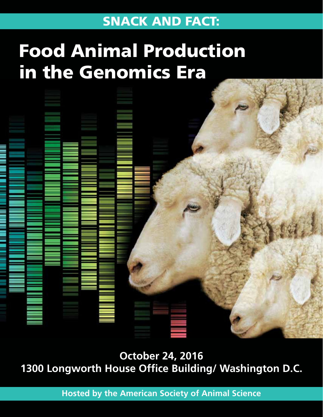## SNACK AND FACT:

## Food Animal Production in the Genomics Era



**October 24, 2016 1300 Longworth House Office Building/ Washington D.C.** 

**Hosted by the American Society of Animal Science**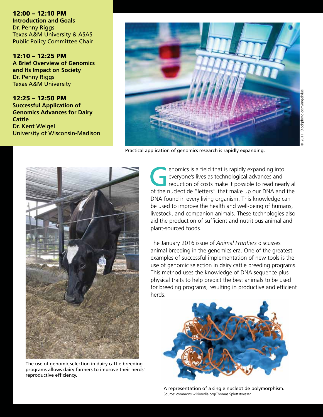12:00 – 12:10 PM **Introduction and Goals** Dr. Penny Riggs Texas A&M University & ASAS Public Policy Committee Chair

12:10 – 12:25 PM **A Brief Overview of Genomics and Its Impact on Society** Dr. Penny Riggs Texas A&M University

12:25 – 12:50 PM **Successful Application of Genomics Advances for Dairy Cattle** Dr. Kent Weigel University of Wisconsin-Madison



Practical application of genomics research is rapidly expanding.



The use of genomic selection in dairy cattle breeding programs allows dairy farmers to improve their herds' reproductive efficiency.

enomics is a field that is rapidly expanding into<br>everyone's lives as technological advances and<br>reduction of costs make it possible to read near<br>of the purcleotide "letters" that make up our DNA and everyone's lives as technological advances and reduction of costs make it possible to read nearly all of the nucleotide "letters" that make up our DNA and the DNA found in every living organism. This knowledge can be used to improve the health and well-being of humans, livestock, and companion animals. These technologies also aid the production of sufficient and nutritious animal and plant-sourced foods.

The January 2016 issue of *Animal Frontiers* discusses animal breeding in the genomics era. One of the greatest examples of successful implementation of new tools is the use of genomic selection in dairy cattle breeding programs. This method uses the knowledge of DNA sequence plus physical traits to help predict the best animals to be used for breeding programs, resulting in productive and efficient herds.



A representation of a single nucleotide polymorphism. Source: commons.wikimedia.org/Thomas Splettstoesser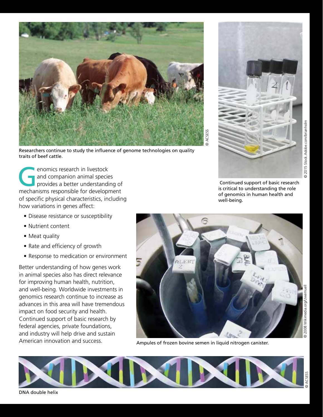

Researchers continue to study the influence of genome technologies on quality traits of beef cattle.

enomics research in livestock and companion animal species provides a better understanding of mechanisms responsible for development of specific physical characteristics, including how variations in genes affect:

- Disease resistance or susceptibility
- Nutrient content
- Meat quality
- Rate and efficiency of growth
- Response to medication or environment

Better understanding of how genes work in animal species also has direct relevance for improving human health, nutrition, and well-being. Worldwide investments in genomics research continue to increase as advances in this area will have tremendous impact on food security and health. Continued support of basic research by federal agencies, private foundations, and industry will help drive and sustain American innovation and success.





Ampules of frozen bovine semen in liquid nitrogen canister.

2015 Stock.Adobe.com/brianholm

 $\ddot{\circ}$ 



DNA double helix